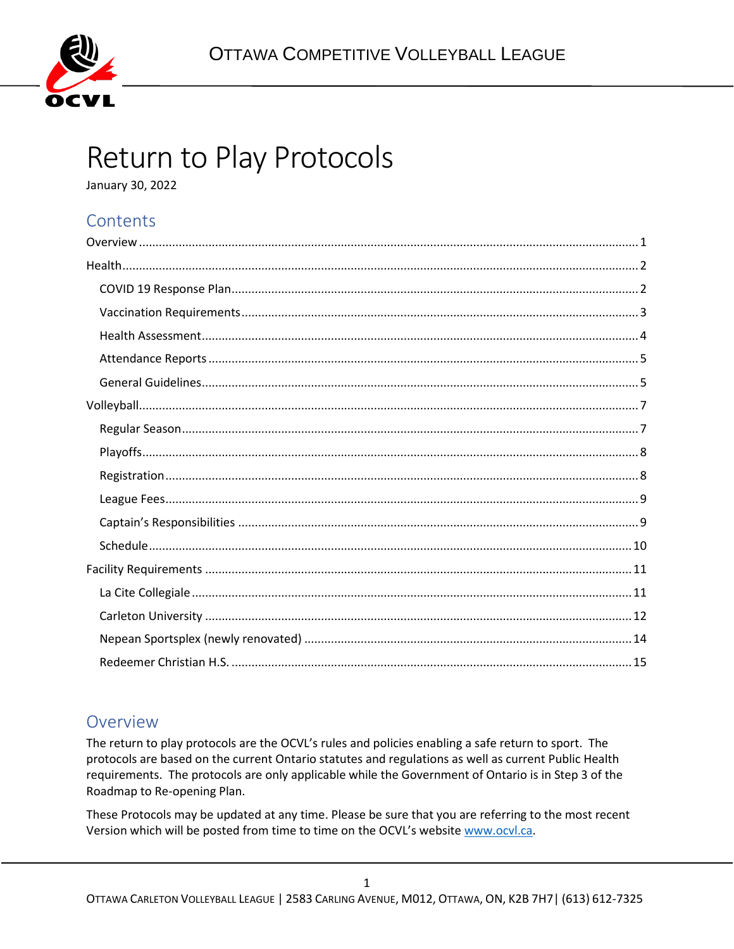

# Return to Play Protocols

January 30, 2022

### Contents

### <span id="page-0-0"></span>Overview

The return to play protocols are the OCVL's rules and policies enabling a safe return to sport. The protocols are based on the current Ontario statutes and regulations as well as current Public Health requirements. The protocols are only applicable while the Government of Ontario is in Step 3 of the Roadmap to Re-opening Plan.

These Protocols may be updated at any time. Please be sure that you are referring to the most recent Version which will be posted from time to time on the OCVL's website www.ocvl.ca.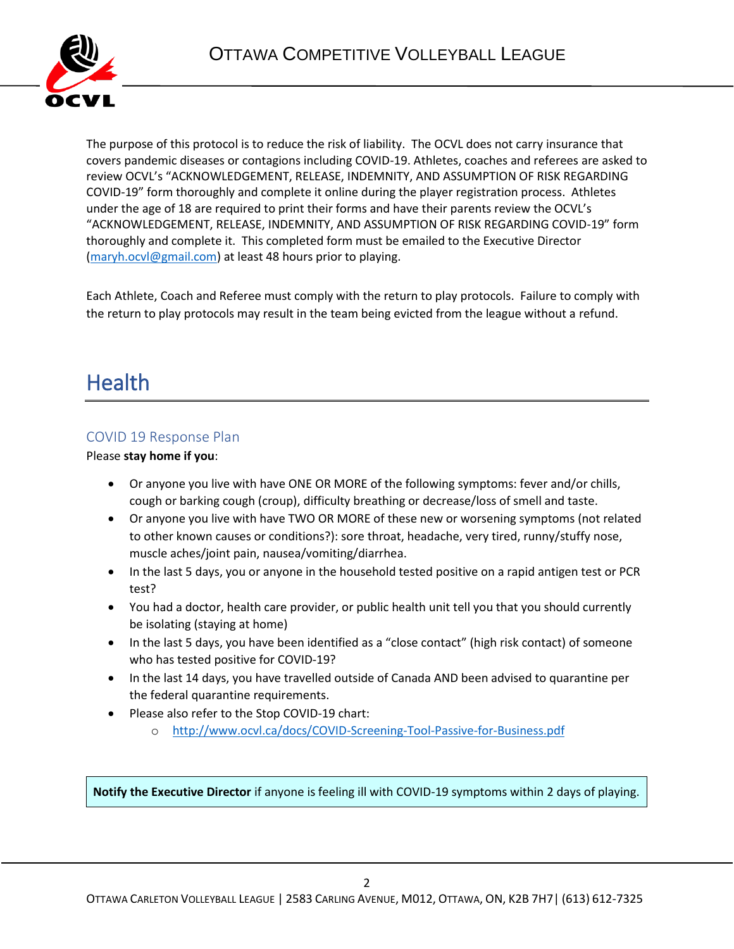

The purpose of this protocol is to reduce the risk of liability. The OCVL does not carry insurance that covers pandemic diseases or contagions including COVID-19. Athletes, coaches and referees are asked to review OCVL's "ACKNOWLEDGEMENT, RELEASE, INDEMNITY, AND ASSUMPTION OF RISK REGARDING COVID-19" form thoroughly and complete it online during the player registration process. Athletes under the age of 18 are required to print their forms and have their parents review the OCVL's "ACKNOWLEDGEMENT, RELEASE, INDEMNITY, AND ASSUMPTION OF RISK REGARDING COVID-19" form thoroughly and complete it. This completed form must be emailed to the Executive Director [\(maryh.ocvl@gmail.com\)](mailto:maryh.ocvl@gmail.com) at least 48 hours prior to playing.

Each Athlete, Coach and Referee must comply with the return to play protocols. Failure to comply with the return to play protocols may result in the team being evicted from the league without a refund.

## <span id="page-1-0"></span>**Health**

#### <span id="page-1-1"></span>COVID 19 Response Plan

Please **stay home if you**:

- Or anyone you live with have ONE OR MORE of the following symptoms: fever and/or chills, cough or barking cough (croup), difficulty breathing or decrease/loss of smell and taste.
- Or anyone you live with have TWO OR MORE of these new or worsening symptoms (not related to other known causes or conditions?): sore throat, headache, very tired, runny/stuffy nose, muscle aches/joint pain, nausea/vomiting/diarrhea.
- In the last 5 days, you or anyone in the household tested positive on a rapid antigen test or PCR test?
- You had a doctor, health care provider, or public health unit tell you that you should currently be isolating (staying at home)
- In the last 5 days, you have been identified as a "close contact" (high risk contact) of someone who has tested positive for COVID-19?
- In the last 14 days, you have travelled outside of Canada AND been advised to quarantine per the federal quarantine requirements.
- Please also refer to the Stop COVID-19 chart:
	- o <http://www.ocvl.ca/docs/COVID-Screening-Tool-Passive-for-Business.pdf>

**Notify the Executive Director** if anyone is feeling ill with COVID-19 symptoms within 2 days of playing.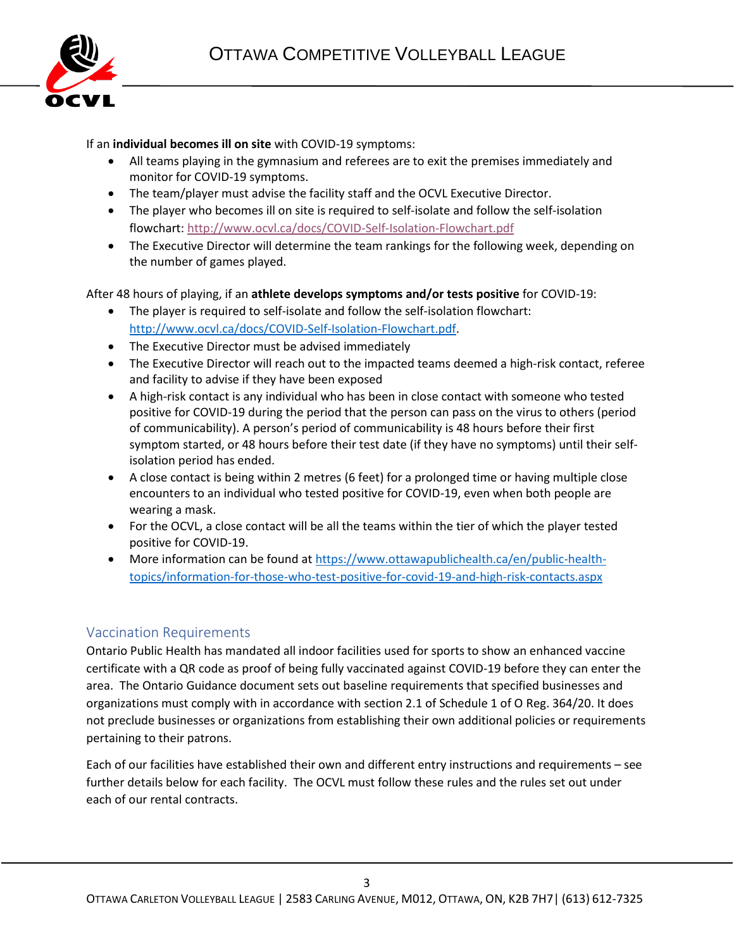

#### If an **individual becomes ill on site** with COVID-19 symptoms:

- All teams playing in the gymnasium and referees are to exit the premises immediately and monitor for COVID-19 symptoms.
- The team/player must advise the facility staff and the OCVL Executive Director.
- The player who becomes ill on site is required to self-isolate and follow the self-isolation flowchart:<http://www.ocvl.ca/docs/COVID-Self-Isolation-Flowchart.pdf>
- The Executive Director will determine the team rankings for the following week, depending on the number of games played.

After 48 hours of playing, if an **athlete develops symptoms and/or tests positive** for COVID-19:

- The player is required to self-isolate and follow the self-isolation flowchart: [http://www.ocvl.ca/docs/COVID-Self-Isolation-Flowchart.pdf.](http://www.ocvl.ca/docs/COVID-Self-Isolation-Flowchart.pdf)
- The Executive Director must be advised immediately
- The Executive Director will reach out to the impacted teams deemed a high-risk contact, referee and facility to advise if they have been exposed
- A high-risk contact is any individual who has been in close contact with someone who tested positive for COVID-19 during the period that the person can pass on the virus to others (period of communicability). A person's period of communicability is 48 hours before their first symptom started, or 48 hours before their test date (if they have no symptoms) until their selfisolation period has ended.
- A close contact is being within 2 metres (6 feet) for a prolonged time or having multiple close encounters to an individual who tested positive for COVID-19, even when both people are wearing a mask.
- For the OCVL, a close contact will be all the teams within the tier of which the player tested positive for COVID-19.
- More information can be found at [https://www.ottawapublichealth.ca/en/public-health](https://www.ottawapublichealth.ca/en/public-health-topics/information-for-those-who-test-positive-for-covid-19-and-high-risk-contacts.aspx)[topics/information-for-those-who-test-positive-for-covid-19-and-high-risk-contacts.aspx](https://www.ottawapublichealth.ca/en/public-health-topics/information-for-those-who-test-positive-for-covid-19-and-high-risk-contacts.aspx)

#### <span id="page-2-0"></span>Vaccination Requirements

Ontario Public Health has mandated all indoor facilities used for sports to show an enhanced vaccine certificate with a QR code as proof of being fully vaccinated against COVID-19 before they can enter the area. The Ontario Guidance document sets out baseline requirements that specified businesses and organizations must comply with in accordance with section 2.1 of Schedule 1 of O Reg. 364/20. It does not preclude businesses or organizations from establishing their own additional policies or requirements pertaining to their patrons.

Each of our facilities have established their own and different entry instructions and requirements – see further details below for each facility. The OCVL must follow these rules and the rules set out under each of our rental contracts.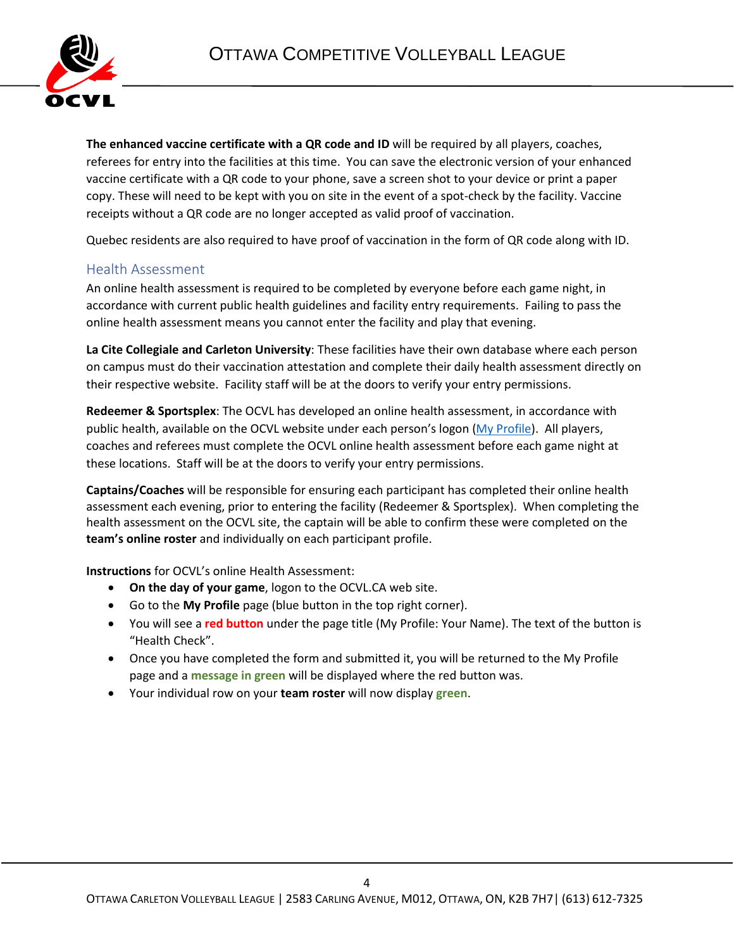

**The enhanced vaccine certificate with a QR code and ID** will be required by all players, coaches, referees for entry into the facilities at this time. You can save the electronic version of your enhanced vaccine certificate with a QR code to your phone, save a screen shot to your device or print a paper copy. These will need to be kept with you on site in the event of a spot-check by the facility. Vaccine receipts without a QR code are no longer accepted as valid proof of vaccination.

Quebec residents are also required to have proof of vaccination in the form of QR code along with ID.

#### <span id="page-3-0"></span>Health Assessment

An online health assessment is required to be completed by everyone before each game night, in accordance with current public health guidelines and facility entry requirements. Failing to pass the online health assessment means you cannot enter the facility and play that evening.

**La Cite Collegiale and Carleton University**: These facilities have their own database where each person on campus must do their vaccination attestation and complete their daily health assessment directly on their respective website. Facility staff will be at the doors to verify your entry permissions.

**Redeemer & Sportsplex**: The OCVL has developed an online health assessment, in accordance with public health, available on the OCVL website under each person's logon [\(My Profile\)](http://ocvl.ca/a/Profile.aspx). All players, coaches and referees must complete the OCVL online health assessment before each game night at these locations. Staff will be at the doors to verify your entry permissions.

**Captains/Coaches** will be responsible for ensuring each participant has completed their online health assessment each evening, prior to entering the facility (Redeemer & Sportsplex). When completing the health assessment on the OCVL site, the captain will be able to confirm these were completed on the **team's online roster** and individually on each participant profile.

**Instructions** for OCVL's online Health Assessment:

- **On the day of your game**, logon to the OCVL.CA web site.
- Go to the **My Profile** page (blue button in the top right corner).
- You will see a **red button** under the page title (My Profile: Your Name). The text of the button is "Health Check".
- Once you have completed the form and submitted it, you will be returned to the My Profile page and a **message in green** will be displayed where the red button was.
- Your individual row on your **team roster** will now display **green**.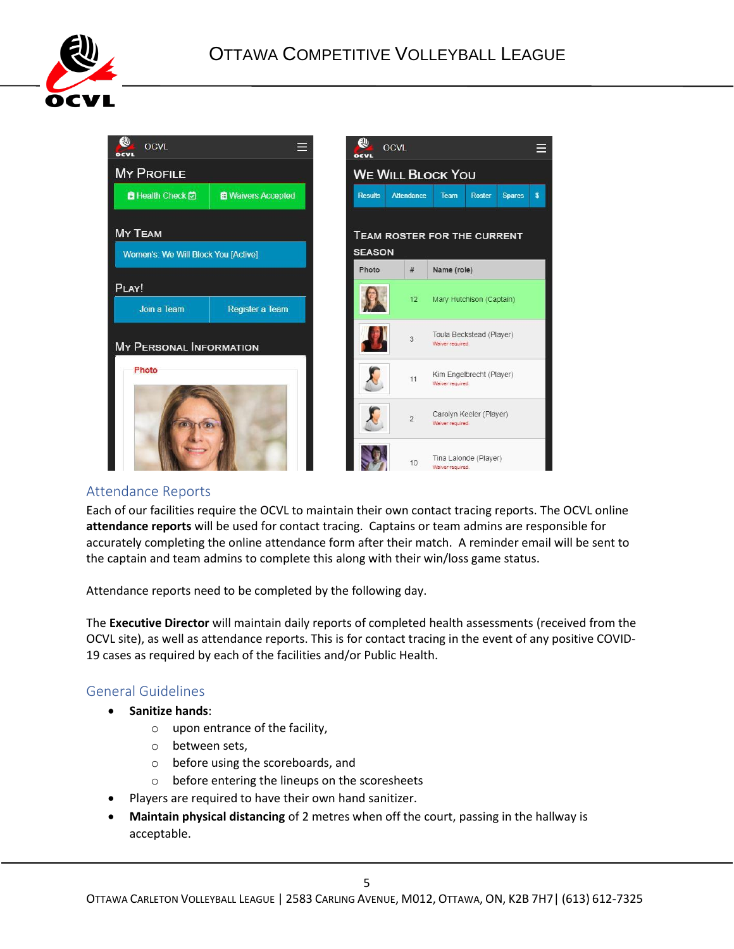



#### <span id="page-4-0"></span>Attendance Reports

Each of our facilities require the OCVL to maintain their own contact tracing reports. The OCVL online **attendance reports** will be used for contact tracing. Captains or team admins are responsible for accurately completing the online attendance form after their match. A reminder email will be sent to the captain and team admins to complete this along with their win/loss game status.

Attendance reports need to be completed by the following day.

The **Executive Director** will maintain daily reports of completed health assessments (received from the OCVL site), as well as attendance reports. This is for contact tracing in the event of any positive COVID-19 cases as required by each of the facilities and/or Public Health.

#### <span id="page-4-1"></span>General Guidelines

- **Sanitize hands**:
	- o upon entrance of the facility,
	- o between sets,
	- o before using the scoreboards, and
	- o before entering the lineups on the scoresheets
- Players are required to have their own hand sanitizer.
- **Maintain physical distancing** of 2 metres when off the court, passing in the hallway is acceptable.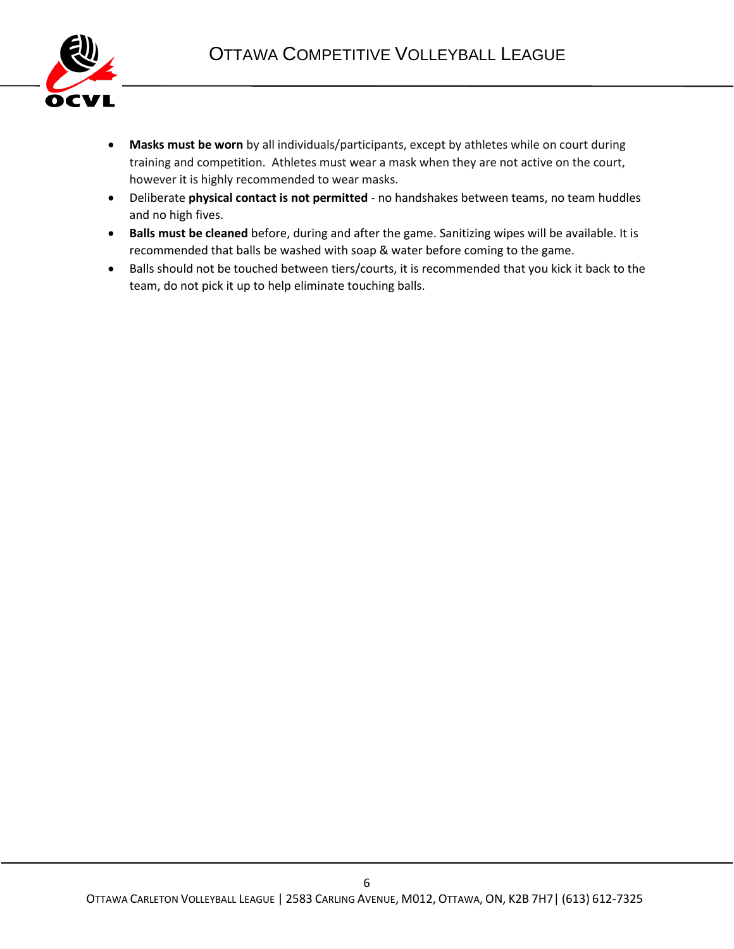

- **Masks must be worn** by all individuals/participants, except by athletes while on court during training and competition. Athletes must wear a mask when they are not active on the court, however it is highly recommended to wear masks.
- Deliberate **physical contact is not permitted** no handshakes between teams, no team huddles and no high fives.
- **Balls must be cleaned** before, during and after the game. Sanitizing wipes will be available. It is recommended that balls be washed with soap & water before coming to the game.
- Balls should not be touched between tiers/courts, it is recommended that you kick it back to the team, do not pick it up to help eliminate touching balls.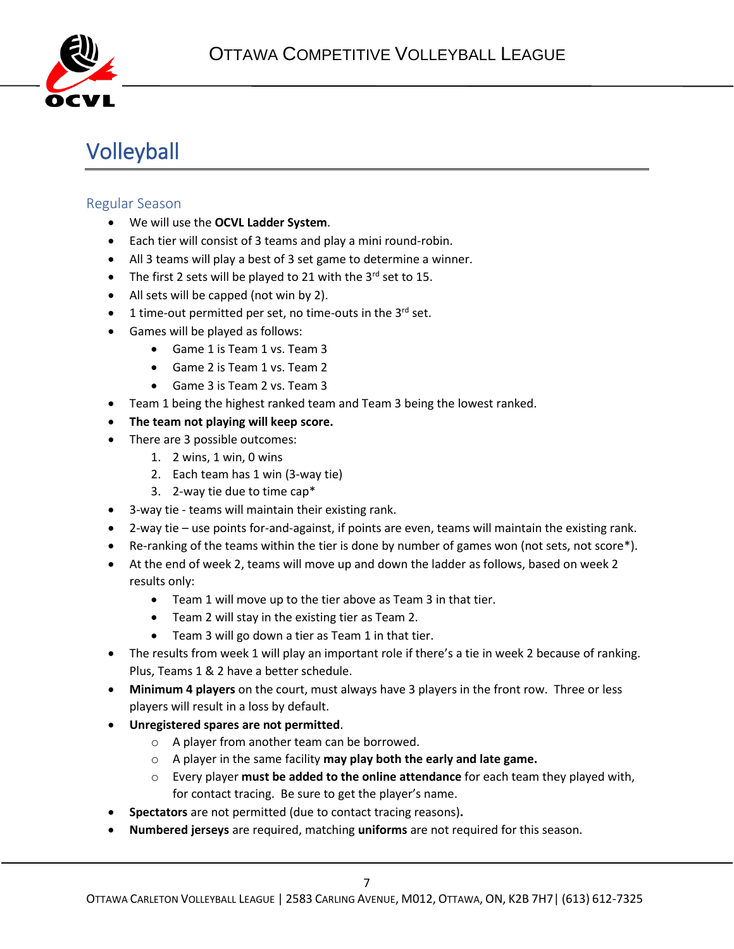

# <span id="page-6-0"></span>Volleyball

#### <span id="page-6-1"></span>Regular Season

- We will use the **OCVL Ladder System**.
- Each tier will consist of 3 teams and play a mini round-robin.
- All 3 teams will play a best of 3 set game to determine a winner.
- The first 2 sets will be played to 21 with the  $3^{rd}$  set to 15.
- All sets will be capped (not win by 2).
- $\bullet$  1 time-out permitted per set, no time-outs in the 3<sup>rd</sup> set.
- Games will be played as follows:
	- Game 1 is Team 1 vs. Team 3
	- Game 2 is Team 1 vs. Team 2
	- Game 3 is Team 2 vs. Team 3
- Team 1 being the highest ranked team and Team 3 being the lowest ranked.
- **The team not playing will keep score.**
- There are 3 possible outcomes:
	- 1. 2 wins, 1 win, 0 wins
	- 2. Each team has 1 win (3-way tie)
	- 3. 2-way tie due to time cap\*
- 3-way tie teams will maintain their existing rank.
- 2-way tie use points for-and-against, if points are even, teams will maintain the existing rank.
- Re-ranking of the teams within the tier is done by number of games won (not sets, not score\*).
- At the end of week 2, teams will move up and down the ladder as follows, based on week 2 results only:
	- Team 1 will move up to the tier above as Team 3 in that tier.
	- Team 2 will stay in the existing tier as Team 2.
	- Team 3 will go down a tier as Team 1 in that tier.
- The results from week 1 will play an important role if there's a tie in week 2 because of ranking. Plus, Teams 1 & 2 have a better schedule.
- **Minimum 4 players** on the court, must always have 3 players in the front row. Three or less players will result in a loss by default.
- **Unregistered spares are not permitted**.
	- o A player from another team can be borrowed.
	- o A player in the same facility **may play both the early and late game.**
	- o Every player **must be added to the online attendance** for each team they played with, for contact tracing. Be sure to get the player's name.
- **Spectators** are not permitted (due to contact tracing reasons)**.**
- **Numbered jerseys** are required, matching **uniforms** are not required for this season.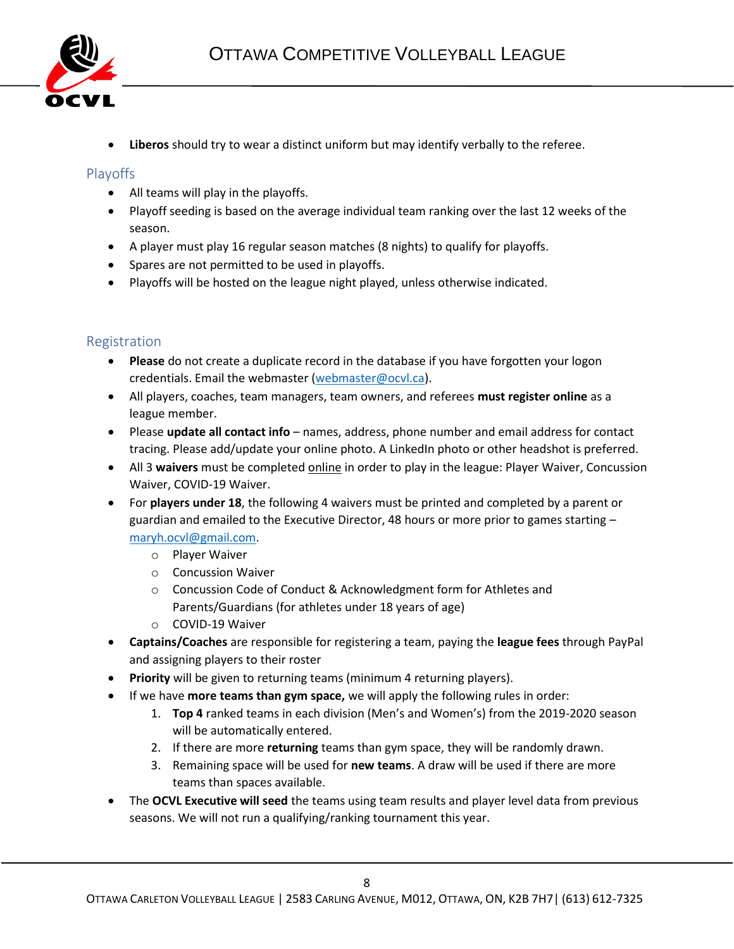

• **Liberos** should try to wear a distinct uniform but may identify verbally to the referee.

#### <span id="page-7-0"></span>Playoffs

- All teams will play in the playoffs.
- Playoff seeding is based on the average individual team ranking over the last 12 weeks of the season.
- A player must play 16 regular season matches (8 nights) to qualify for playoffs.
- Spares are not permitted to be used in playoffs.
- Playoffs will be hosted on the league night played, unless otherwise indicated.

#### <span id="page-7-1"></span>Registration

- **Please** do not create a duplicate record in the database if you have forgotten your logon credentials. Email the webmaster [\(webmaster@ocvl.ca\)](mailto:webmaster@ocvl.ca).
- All players, coaches, team managers, team owners, and referees **must register online** as a league member.
- Please **update all contact info** names, address, phone number and email address for contact tracing. Please add/update your online photo. A LinkedIn photo or other headshot is preferred.
- All 3 **waivers** must be completed online in order to play in the league: Player Waiver, Concussion Waiver, COVID-19 Waiver.
- For **players under 18**, the following 4 waivers must be printed and completed by a parent or guardian and emailed to the Executive Director, 48 hours or more prior to games starting – [maryh.ocvl@gmail.com.](mailto:maryh.ocvl@gmail.com)
	- o Player Waiver
	- o Concussion Waiver
	- o Concussion Code of Conduct & Acknowledgment form for Athletes and Parents/Guardians (for athletes under 18 years of age)
	- o COVID-19 Waiver
- **Captains/Coaches** are responsible for registering a team, paying the **league fees** through PayPal and assigning players to their roster
- **Priority** will be given to returning teams (minimum 4 returning players).
- If we have **more teams than gym space,** we will apply the following rules in order:
	- 1. **Top 4** ranked teams in each division (Men's and Women's) from the 2019-2020 season will be automatically entered.
	- 2. If there are more **returning** teams than gym space, they will be randomly drawn.
	- 3. Remaining space will be used for **new teams**. A draw will be used if there are more teams than spaces available.
- The **OCVL Executive will seed** the teams using team results and player level data from previous seasons. We will not run a qualifying/ranking tournament this year.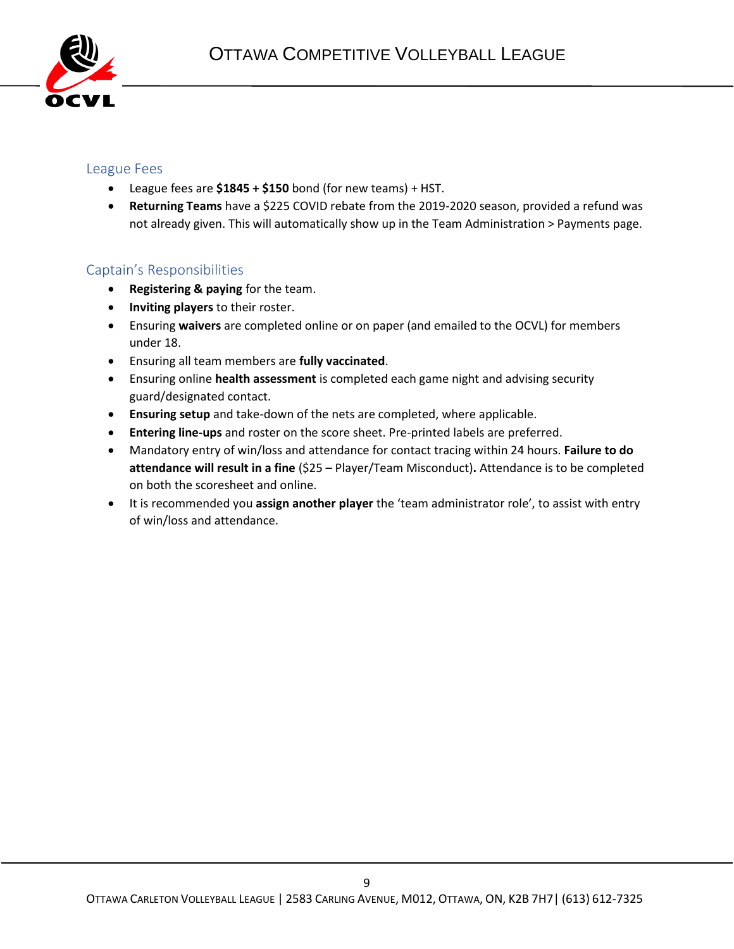

#### <span id="page-8-0"></span>League Fees

- League fees are **\$1845 + \$150** bond (for new teams) + HST.
- **Returning Teams** have a \$225 COVID rebate from the 2019-2020 season, provided a refund was not already given. This will automatically show up in the Team Administration > Payments page.

#### <span id="page-8-1"></span>Captain's Responsibilities

- **Registering & paying** for the team.
- **Inviting players** to their roster.
- Ensuring **waivers** are completed online or on paper (and emailed to the OCVL) for members under 18.
- Ensuring all team members are **fully vaccinated**.
- Ensuring online **health assessment** is completed each game night and advising security guard/designated contact.
- **Ensuring setup** and take-down of the nets are completed, where applicable.
- **Entering line-ups** and roster on the score sheet. Pre-printed labels are preferred.
- Mandatory entry of win/loss and attendance for contact tracing within 24 hours. **Failure to do attendance will result in a fine** (\$25 – Player/Team Misconduct)**.** Attendance is to be completed on both the scoresheet and online.
- It is recommended you **assign another player** the 'team administrator role', to assist with entry of win/loss and attendance.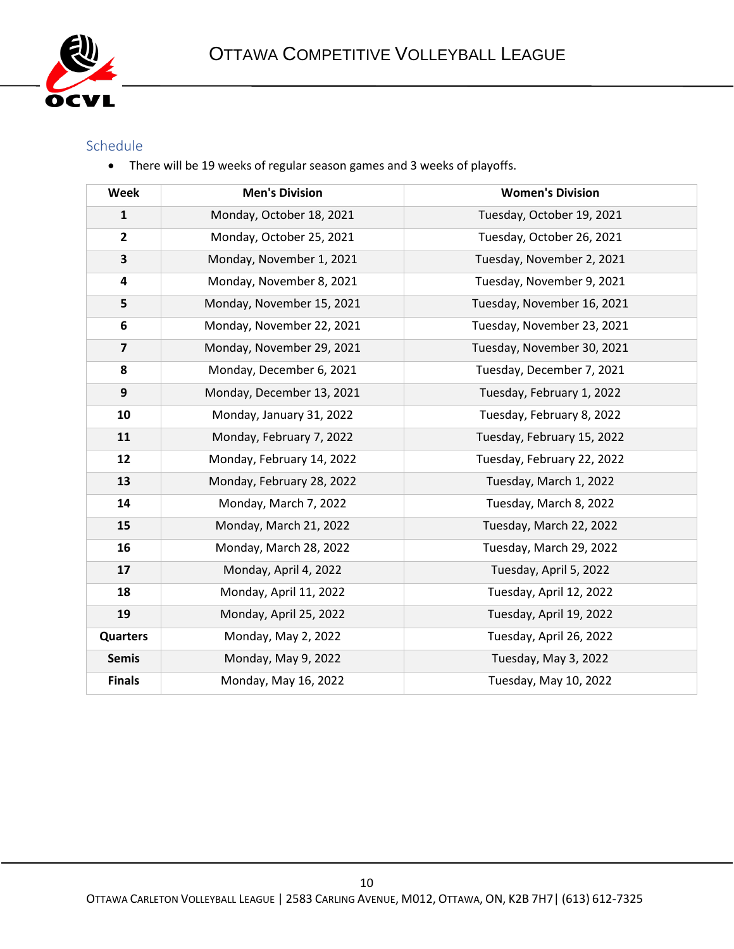

#### <span id="page-9-0"></span>Schedule

• There will be 19 weeks of regular season games and 3 weeks of playoffs.

| <b>Week</b>             | <b>Men's Division</b>     | <b>Women's Division</b>    |
|-------------------------|---------------------------|----------------------------|
| $\mathbf{1}$            | Monday, October 18, 2021  | Tuesday, October 19, 2021  |
| $\overline{2}$          | Monday, October 25, 2021  | Tuesday, October 26, 2021  |
| $\overline{\mathbf{3}}$ | Monday, November 1, 2021  | Tuesday, November 2, 2021  |
| 4                       | Monday, November 8, 2021  | Tuesday, November 9, 2021  |
| 5                       | Monday, November 15, 2021 | Tuesday, November 16, 2021 |
| 6                       | Monday, November 22, 2021 | Tuesday, November 23, 2021 |
| $\overline{\mathbf{z}}$ | Monday, November 29, 2021 | Tuesday, November 30, 2021 |
| 8                       | Monday, December 6, 2021  | Tuesday, December 7, 2021  |
| 9                       | Monday, December 13, 2021 | Tuesday, February 1, 2022  |
| 10                      | Monday, January 31, 2022  | Tuesday, February 8, 2022  |
| 11                      | Monday, February 7, 2022  | Tuesday, February 15, 2022 |
| 12                      | Monday, February 14, 2022 | Tuesday, February 22, 2022 |
| 13                      | Monday, February 28, 2022 | Tuesday, March 1, 2022     |
| 14                      | Monday, March 7, 2022     | Tuesday, March 8, 2022     |
| 15                      | Monday, March 21, 2022    | Tuesday, March 22, 2022    |
| 16                      | Monday, March 28, 2022    | Tuesday, March 29, 2022    |
| 17                      | Monday, April 4, 2022     | Tuesday, April 5, 2022     |
| 18                      | Monday, April 11, 2022    | Tuesday, April 12, 2022    |
| 19                      | Monday, April 25, 2022    | Tuesday, April 19, 2022    |
| <b>Quarters</b>         | Monday, May 2, 2022       | Tuesday, April 26, 2022    |
| <b>Semis</b>            | Monday, May 9, 2022       | Tuesday, May 3, 2022       |
| <b>Finals</b>           | Monday, May 16, 2022      | Tuesday, May 10, 2022      |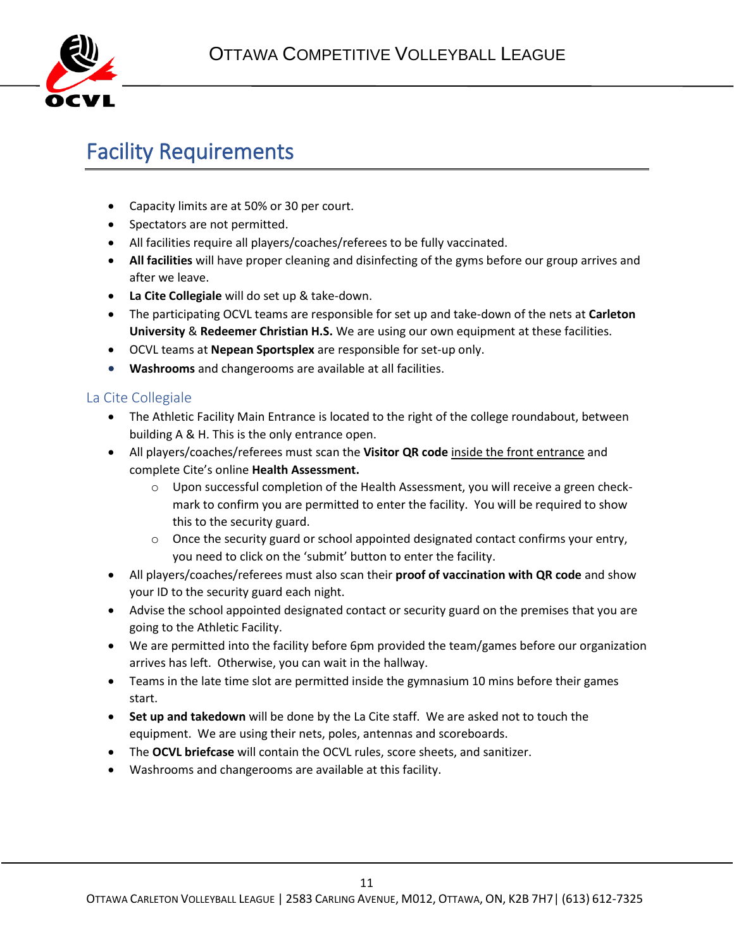

### <span id="page-10-0"></span>Facility Requirements

- Capacity limits are at 50% or 30 per court.
- Spectators are not permitted.
- All facilities require all players/coaches/referees to be fully vaccinated.
- **All facilities** will have proper cleaning and disinfecting of the gyms before our group arrives and after we leave.
- **La Cite Collegiale** will do set up & take-down.
- The participating OCVL teams are responsible for set up and take-down of the nets at **Carleton University** & **Redeemer Christian H.S.** We are using our own equipment at these facilities.
- OCVL teams at **Nepean Sportsplex** are responsible for set-up only.
- **Washrooms** and changerooms are available at all facilities.

#### <span id="page-10-1"></span>La Cite Collegiale

- The Athletic Facility Main Entrance is located to the right of the college roundabout, between building A & H. This is the only entrance open.
- All players/coaches/referees must scan the **Visitor QR code** inside the front entrance and complete Cite's online **Health Assessment.** 
	- o Upon successful completion of the Health Assessment, you will receive a green checkmark to confirm you are permitted to enter the facility. You will be required to show this to the security guard.
	- $\circ$  Once the security guard or school appointed designated contact confirms your entry, you need to click on the 'submit' button to enter the facility.
- All players/coaches/referees must also scan their **proof of vaccination with QR code** and show your ID to the security guard each night.
- Advise the school appointed designated contact or security guard on the premises that you are going to the Athletic Facility.
- We are permitted into the facility before 6pm provided the team/games before our organization arrives has left. Otherwise, you can wait in the hallway.
- Teams in the late time slot are permitted inside the gymnasium 10 mins before their games start.
- **Set up and takedown** will be done by the La Cite staff. We are asked not to touch the equipment. We are using their nets, poles, antennas and scoreboards.
- The **OCVL briefcase** will contain the OCVL rules, score sheets, and sanitizer.
- Washrooms and changerooms are available at this facility.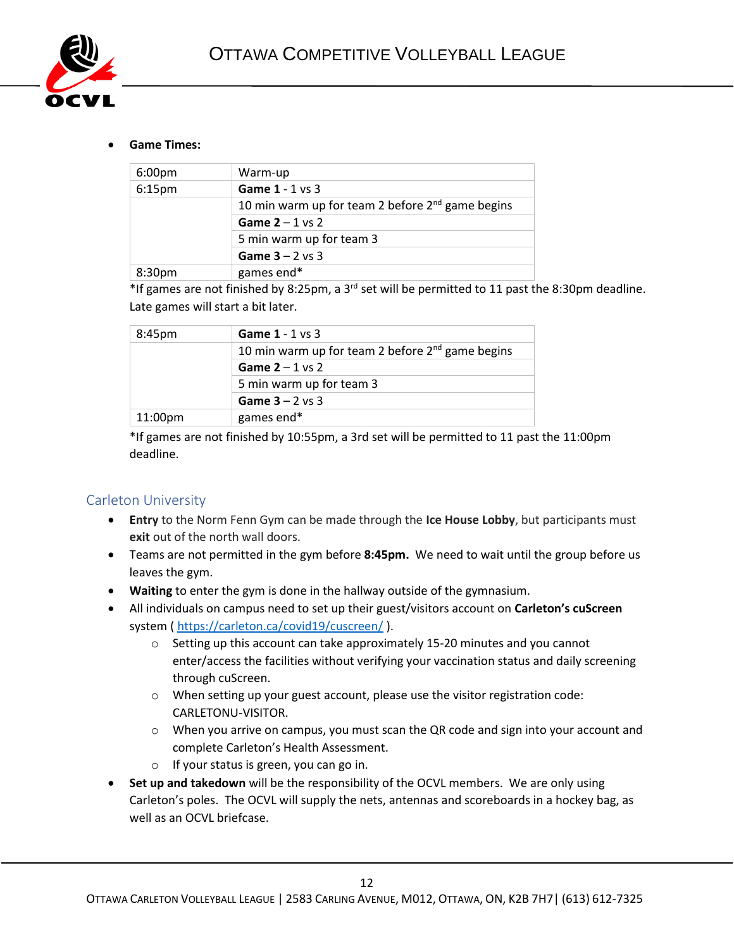

#### • **Game Times:**

| Warm-up                                               |
|-------------------------------------------------------|
| Game 1 - 1 vs 3                                       |
| 10 min warm up for team 2 before $2^{nd}$ game begins |
| Game $2 - 1$ vs 2                                     |
| 5 min warm up for team 3                              |
| Game $3 - 2$ vs 3                                     |
| games end*                                            |
|                                                       |

\*If games are not finished by 8:25pm, a 3<sup>rd</sup> set will be permitted to 11 past the 8:30pm deadline. Late games will start a bit later.

| 8:45pm  | Game $1 - 1$ vs 3                                     |
|---------|-------------------------------------------------------|
|         | 10 min warm up for team 2 before $2^{nd}$ game begins |
|         | Game $2 - 1$ vs 2                                     |
|         | 5 min warm up for team 3                              |
|         | Game $3 - 2$ vs 3                                     |
| 11:00pm | games end*                                            |

\*If games are not finished by 10:55pm, a 3rd set will be permitted to 11 past the 11:00pm deadline.

#### <span id="page-11-0"></span>Carleton University

- **Entry** to the Norm Fenn Gym can be made through the **Ice House Lobby**, but participants must **exit** out of the north wall doors.
- Teams are not permitted in the gym before **8:45pm.** We need to wait until the group before us leaves the gym.
- **Waiting** to enter the gym is done in the hallway outside of the gymnasium.
- All individuals on campus need to set up their guest/visitors account on **Carleton's cuScreen** system ( <https://carleton.ca/covid19/cuscreen/> ).
	- o Setting up this account can take approximately 15-20 minutes and you cannot enter/access the facilities without verifying your vaccination status and daily screening through cuScreen.
	- o When setting up your guest account, please use the visitor registration code: CARLETONU-VISITOR.
	- $\circ$  When you arrive on campus, you must scan the QR code and sign into your account and complete Carleton's Health Assessment.
	- o If your status is green, you can go in.
- **Set up and takedown** will be the responsibility of the OCVL members. We are only using Carleton's poles. The OCVL will supply the nets, antennas and scoreboards in a hockey bag, as well as an OCVL briefcase.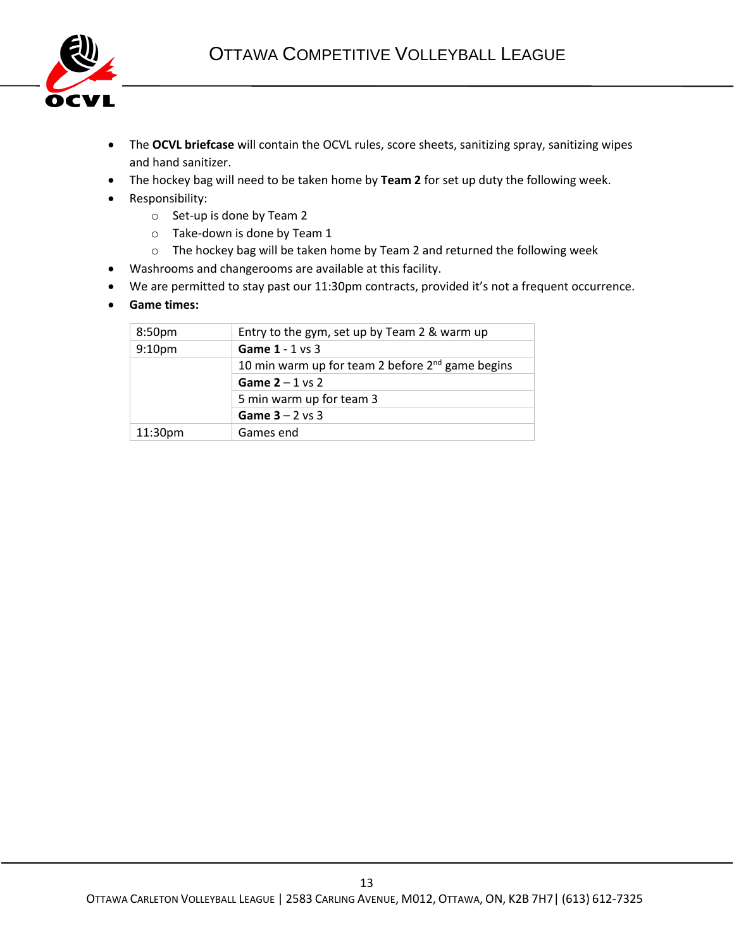

- The **OCVL briefcase** will contain the OCVL rules, score sheets, sanitizing spray, sanitizing wipes and hand sanitizer.
- The hockey bag will need to be taken home by **Team 2** for set up duty the following week.
- Responsibility:
	- o Set-up is done by Team 2
	- o Take-down is done by Team 1
	- o The hockey bag will be taken home by Team 2 and returned the following week
- Washrooms and changerooms are available at this facility.
- We are permitted to stay past our 11:30pm contracts, provided it's not a frequent occurrence.
- **Game times:**

| 8:50 <sub>pm</sub>  | Entry to the gym, set up by Team 2 & warm up          |
|---------------------|-------------------------------------------------------|
| 9:10 <sub>pm</sub>  | Game $1 - 1$ vs 3                                     |
|                     | 10 min warm up for team 2 before $2^{nd}$ game begins |
|                     | Game $2 - 1$ vs 2                                     |
|                     | 5 min warm up for team 3                              |
|                     | Game $3 - 2$ vs 3                                     |
| 11:30 <sub>pm</sub> | Games end                                             |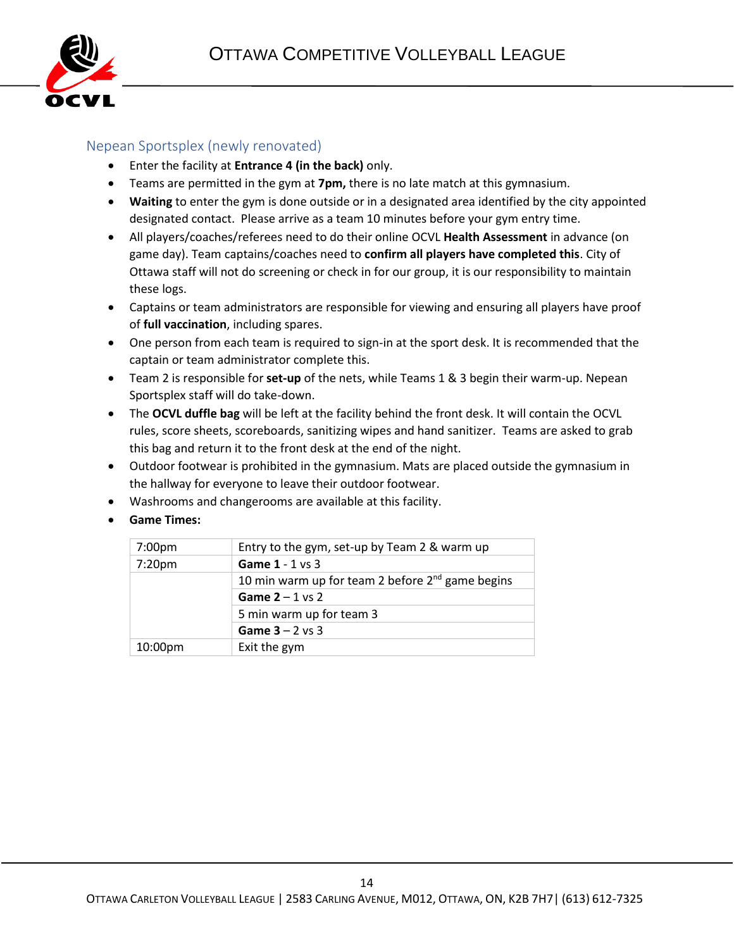

#### <span id="page-13-0"></span>Nepean Sportsplex (newly renovated)

- Enter the facility at **Entrance 4 (in the back)** only.
- Teams are permitted in the gym at **7pm,** there is no late match at this gymnasium.
- **Waiting** to enter the gym is done outside or in a designated area identified by the city appointed designated contact. Please arrive as a team 10 minutes before your gym entry time.
- All players/coaches/referees need to do their online OCVL **Health Assessment** in advance (on game day). Team captains/coaches need to **confirm all players have completed this**. City of Ottawa staff will not do screening or check in for our group, it is our responsibility to maintain these logs.
- Captains or team administrators are responsible for viewing and ensuring all players have proof of **full vaccination**, including spares.
- One person from each team is required to sign-in at the sport desk. It is recommended that the captain or team administrator complete this.
- Team 2 is responsible for **set-up** of the nets, while Teams 1 & 3 begin their warm-up. Nepean Sportsplex staff will do take-down.
- The **OCVL duffle bag** will be left at the facility behind the front desk. It will contain the OCVL rules, score sheets, scoreboards, sanitizing wipes and hand sanitizer. Teams are asked to grab this bag and return it to the front desk at the end of the night.
- Outdoor footwear is prohibited in the gymnasium. Mats are placed outside the gymnasium in the hallway for everyone to leave their outdoor footwear.
- Washrooms and changerooms are available at this facility.
- **Game Times:**

| 7:00pm  | Entry to the gym, set-up by Team 2 & warm up       |
|---------|----------------------------------------------------|
| 7:20pm  | Game $1 - 1$ vs 3                                  |
|         | 10 min warm up for team 2 before $2nd$ game begins |
|         | Game $2 - 1$ vs 2                                  |
|         | 5 min warm up for team 3                           |
|         | Game $3 - 2$ vs 3                                  |
| 10:00pm | Exit the gym                                       |